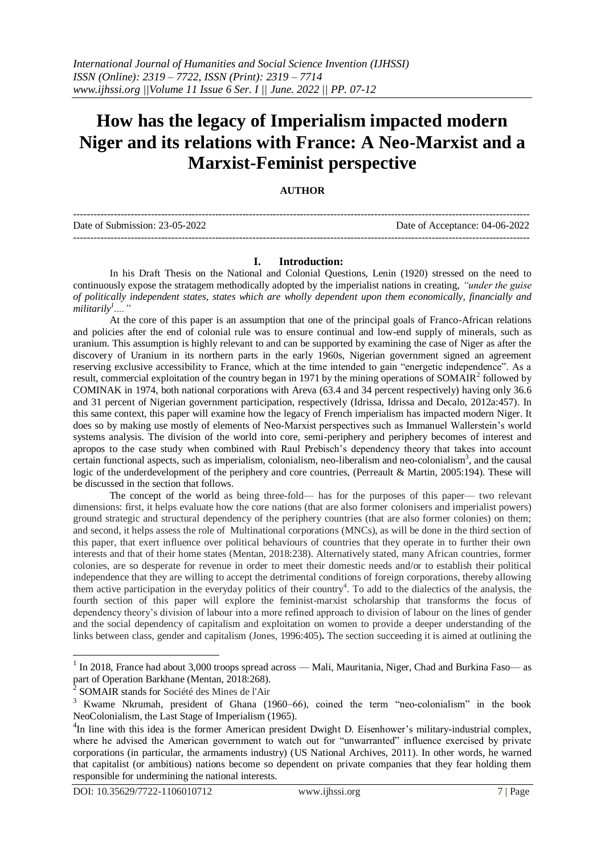# **How has the legacy of Imperialism impacted modern Niger and its relations with France: A Neo-Marxist and a Marxist-Feminist perspective**

# **AUTHOR**

| Date of Submission: 23-05-2022 | Date of Acceptance: 04-06-2022 |
|--------------------------------|--------------------------------|
|                                |                                |

# **I. Introduction:**

In his Draft Thesis on the National and Colonial Questions, Lenin (1920) stressed on the need to continuously expose the stratagem methodically adopted by the imperialist nations in creating, *"under the guise of politically independent states, states which are wholly dependent upon them economically, financially and militarily<sup>1</sup> ...."* 

At the core of this paper is an assumption that one of the principal goals of Franco-African relations and policies after the end of colonial rule was to ensure continual and low-end supply of minerals, such as uranium. This assumption is highly relevant to and can be supported by examining the case of Niger as after the discovery of Uranium in its northern parts in the early 1960s, Nigerian government signed an agreement reserving exclusive accessibility to France, which at the time intended to gain "energetic independence". As a result, commercial exploitation of the country began in 1971 by the mining operations of SOMAIR<sup>2</sup> followed by COMINAK in 1974, both national corporations with Areva (63.4 and 34 percent respectively) having only 36.6 and 31 percent of Nigerian government participation, respectively (Idrissa, Idrissa and Decalo, 2012a:457). In this same context, this paper will examine how the legacy of French imperialism has impacted modern Niger. It does so by making use mostly of elements of Neo-Marxist perspectives such as Immanuel Wallerstein's world systems analysis. The division of the world into core, semi-periphery and periphery becomes of interest and apropos to the case study when combined with Raul Prebisch's dependency theory that takes into account certain functional aspects, such as imperialism, colonialism, neo-liberalism and neo-colonialism<sup>3</sup>, and the causal logic of the underdevelopment of the periphery and core countries, (Perreault & Martin, 2005:194). These will be discussed in the section that follows.

The concept of the world as being three-fold— has for the purposes of this paper— two relevant dimensions: first, it helps evaluate how the core nations (that are also former colonisers and imperialist powers) ground strategic and structural dependency of the periphery countries (that are also former colonies) on them; and second, it helps assess the role of Multinational corporations (MNCs), as will be done in the third section of this paper, that exert influence over political behaviours of countries that they operate in to further their own interests and that of their home states (Mentan, 2018:238). Alternatively stated, many African countries, former colonies, are so desperate for revenue in order to meet their domestic needs and/or to establish their political independence that they are willing to accept the detrimental conditions of foreign corporations, thereby allowing them active participation in the everyday politics of their country<sup>4</sup>. To add to the dialectics of the analysis, the fourth section of this paper will explore the feminist-marxist scholarship that transforms the focus of dependency theory's division of labour into a more refined approach to division of labour on the lines of gender and the social dependency of capitalism and exploitation on women to provide a deeper understanding of the links between class, gender and capitalism (Jones, 1996:405)**.** The section succeeding it is aimed at outlining the

<sup>&</sup>lt;sup>1</sup> In 2018, France had about 3,000 troops spread across — Mali, Mauritania, Niger, Chad and Burkina Faso— as part of Operation Barkhane (Mentan, 2018:268).<br><sup>2</sup> SOMAID stands for Sociáté des Mines de l'Air

SOMAIR stands for Société des Mines de l'Air

<sup>&</sup>lt;sup>3</sup> Kwame Nkrumah, president of Ghana (1960–66), coined the term "neo-colonialism" in the book NeoColonialism, the Last Stage of Imperialism (1965).

<sup>&</sup>lt;sup>4</sup>In line with this idea is the former American president Dwight D. Eisenhower's military-industrial complex, where he advised the American government to watch out for "unwarranted" influence exercised by private corporations (in particular, the armaments industry) (US National Archives, 2011). In other words, he warned that capitalist (or ambitious) nations become so dependent on private companies that they fear holding them responsible for undermining the national interests.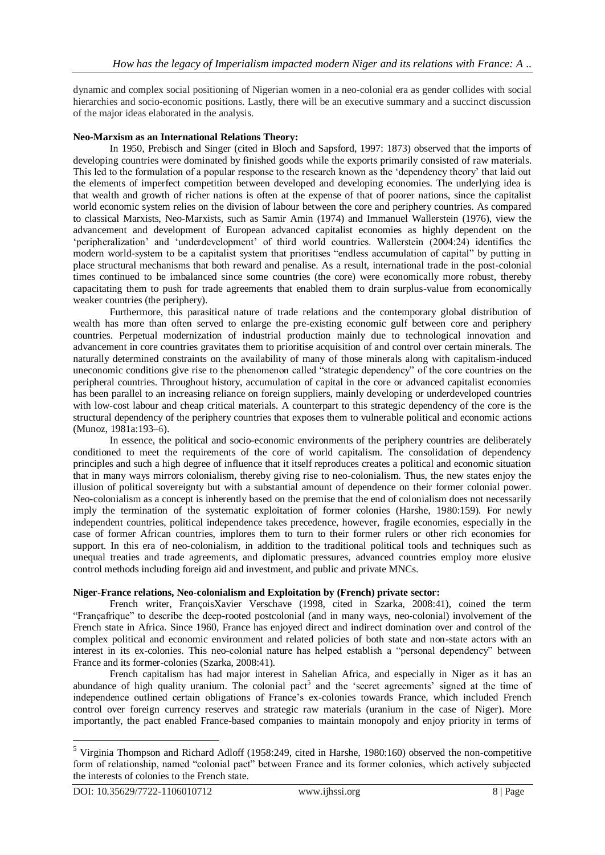dynamic and complex social positioning of Nigerian women in a neo-colonial era as gender collides with social hierarchies and socio-economic positions. Lastly, there will be an executive summary and a succinct discussion of the major ideas elaborated in the analysis.

### **Neo-Marxism as an International Relations Theory:**

In 1950, Prebisch and Singer (cited in Bloch and Sapsford, 1997: 1873) observed that the imports of developing countries were dominated by finished goods while the exports primarily consisted of raw materials. This led to the formulation of a popular response to the research known as the 'dependency theory' that laid out the elements of imperfect competition between developed and developing economies. The underlying idea is that wealth and growth of richer nations is often at the expense of that of poorer nations, since the capitalist world economic system relies on the division of labour between the core and periphery countries. As compared to classical Marxists, Neo-Marxists, such as Samir Amin (1974) and Immanuel Wallerstein (1976), view the advancement and development of European advanced capitalist economies as highly dependent on the 'peripheralization' and 'underdevelopment' of third world countries. Wallerstein (2004:24) identifies the modern world-system to be a capitalist system that prioritises "endless accumulation of capital" by putting in place structural mechanisms that both reward and penalise. As a result, international trade in the post-colonial times continued to be imbalanced since some countries (the core) were economically more robust, thereby capacitating them to push for trade agreements that enabled them to drain surplus-value from economically weaker countries (the periphery).

Furthermore, this parasitical nature of trade relations and the contemporary global distribution of wealth has more than often served to enlarge the pre-existing economic gulf between core and periphery countries. Perpetual modernization of industrial production mainly due to technological innovation and advancement in core countries gravitates them to prioritise acquisition of and control over certain minerals. The naturally determined constraints on the availability of many of those minerals along with capitalism-induced uneconomic conditions give rise to the phenomenon called "strategic dependency" of the core countries on the peripheral countries. Throughout history, accumulation of capital in the core or advanced capitalist economies has been parallel to an increasing reliance on foreign suppliers, mainly developing or underdeveloped countries with low-cost labour and cheap critical materials. A counterpart to this strategic dependency of the core is the structural dependency of the periphery countries that exposes them to vulnerable political and economic actions (Munoz, 1981a:193–6).

In essence, the political and socio-economic environments of the periphery countries are deliberately conditioned to meet the requirements of the core of world capitalism. The consolidation of dependency principles and such a high degree of influence that it itself reproduces creates a political and economic situation that in many ways mirrors colonialism, thereby giving rise to neo-colonialism. Thus, the new states enjoy the illusion of political sovereignty but with a substantial amount of dependence on their former colonial power. Neo-colonialism as a concept is inherently based on the premise that the end of colonialism does not necessarily imply the termination of the systematic exploitation of former colonies (Harshe, 1980:159). For newly independent countries, political independence takes precedence, however, fragile economies, especially in the case of former African countries, implores them to turn to their former rulers or other rich economies for support. In this era of neo-colonialism, in addition to the traditional political tools and techniques such as unequal treaties and trade agreements, and diplomatic pressures, advanced countries employ more elusive control methods including foreign aid and investment, and public and private MNCs.

#### **Niger-France relations, Neo-colonialism and Exploitation by (French) private sector:**

French writer, FrançoisXavier Verschave (1998, cited in Szarka, 2008:41), coined the term "Françafrique" to describe the deep-rooted postcolonial (and in many ways, neo-colonial) involvement of the French state in Africa. Since 1960, France has enjoyed direct and indirect domination over and control of the complex political and economic environment and related policies of both state and non-state actors with an interest in its ex-colonies. This neo-colonial nature has helped establish a "personal dependency" between France and its former-colonies (Szarka, 2008:41).

French capitalism has had major interest in Sahelian Africa, and especially in Niger as it has an abundance of high quality uranium. The colonial pact<sup>5</sup> and the 'secret agreements' signed at the time of independence outlined certain obligations of France's ex-colonies towards France, which included French control over foreign currency reserves and strategic raw materials (uranium in the case of Niger). More importantly, the pact enabled France-based companies to maintain monopoly and enjoy priority in terms of

<sup>5</sup> Virginia Thompson and Richard Adloff (1958:249, cited in Harshe, 1980:160) observed the non-competitive form of relationship, named "colonial pact" between France and its former colonies, which actively subjected the interests of colonies to the French state.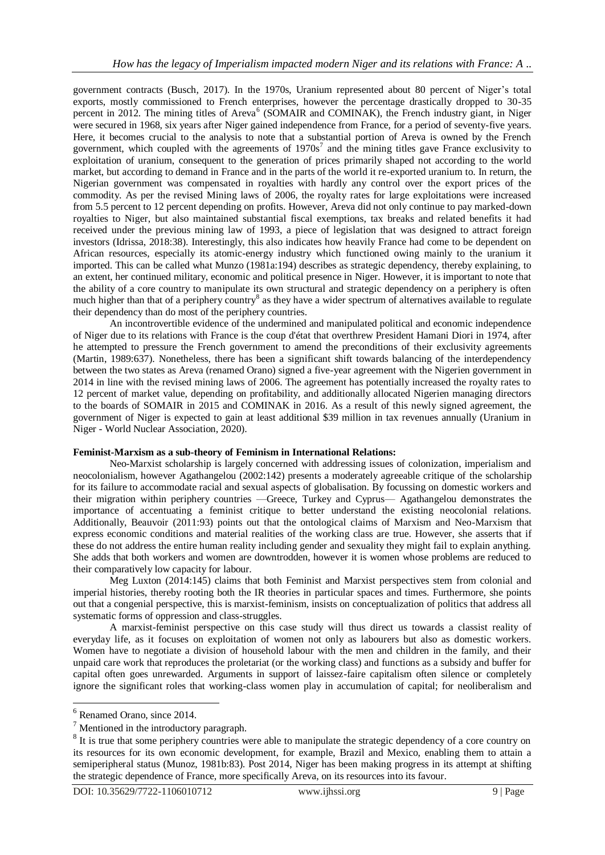government contracts (Busch, 2017). In the 1970s, Uranium represented about 80 percent of Niger's total exports, mostly commissioned to French enterprises, however the percentage drastically dropped to 30-35 percent in 2012. The mining titles of Areva<sup>6</sup> (SOMAIR and COMINAK), the French industry giant, in Niger were secured in 1968, six years after Niger gained independence from France, for a period of seventy-five years. Here, it becomes crucial to the analysis to note that a substantial portion of Areva is owned by the French government, which coupled with the agreements of  $1970s<sup>7</sup>$  and the mining titles gave France exclusivity to exploitation of uranium, consequent to the generation of prices primarily shaped not according to the world market, but according to demand in France and in the parts of the world it re-exported uranium to. In return, the Nigerian government was compensated in royalties with hardly any control over the export prices of the commodity. As per the revised Mining laws of 2006, the royalty rates for large exploitations were increased from 5.5 percent to 12 percent depending on profits. However, Areva did not only continue to pay marked-down royalties to Niger, but also maintained substantial fiscal exemptions, tax breaks and related benefits it had received under the previous mining law of 1993, a piece of legislation that was designed to attract foreign investors (Idrissa, 2018:38). Interestingly, this also indicates how heavily France had come to be dependent on African resources, especially its atomic-energy industry which functioned owing mainly to the uranium it imported. This can be called what Munzo (1981a:194) describes as strategic dependency, thereby explaining, to an extent, her continued military, economic and political presence in Niger. However, it is important to note that the ability of a core country to manipulate its own structural and strategic dependency on a periphery is often much higher than that of a periphery country<sup>8</sup> as they have a wider spectrum of alternatives available to regulate their dependency than do most of the periphery countries.

An incontrovertible evidence of the undermined and manipulated political and economic independence of Niger due to its relations with France is the coup d'état that overthrew President Hamani Diori in 1974, after he attempted to pressure the French government to amend the preconditions of their exclusivity agreements (Martin, 1989:637). Nonetheless, there has been a significant shift towards balancing of the interdependency between the two states as Areva (renamed Orano) signed a five-year agreement with the Nigerien government in 2014 in line with the revised mining laws of 2006. The agreement has potentially increased the royalty rates to 12 percent of market value, depending on profitability, and additionally allocated Nigerien managing directors to the boards of SOMAIR in 2015 and COMINAK in 2016. As a result of this newly signed agreement, the government of Niger is expected to gain at least additional \$39 million in tax revenues annually (Uranium in Niger - World Nuclear Association, 2020).

# **Feminist-Marxism as a sub-theory of Feminism in International Relations:**

Neo-Marxist scholarship is largely concerned with addressing issues of colonization, imperialism and neocolonialism, however Agathangelou (2002:142) presents a moderately agreeable critique of the scholarship for its failure to accommodate racial and sexual aspects of globalisation. By focussing on domestic workers and their migration within periphery countries —Greece, Turkey and Cyprus— Agathangelou demonstrates the importance of accentuating a feminist critique to better understand the existing neocolonial relations. Additionally, Beauvoir (2011:93) points out that the ontological claims of Marxism and Neo-Marxism that express economic conditions and material realities of the working class are true. However, she asserts that if these do not address the entire human reality including gender and sexuality they might fail to explain anything. She adds that both workers and women are downtrodden, however it is women whose problems are reduced to their comparatively low capacity for labour.

Meg Luxton (2014:145) claims that both Feminist and Marxist perspectives stem from colonial and imperial histories, thereby rooting both the IR theories in particular spaces and times. Furthermore, she points out that a congenial perspective, this is marxist-feminism, insists on conceptualization of politics that address all systematic forms of oppression and class-struggles.

A marxist-feminist perspective on this case study will thus direct us towards a classist reality of everyday life, as it focuses on exploitation of women not only as labourers but also as domestic workers. Women have to negotiate a division of household labour with the men and children in the family, and their unpaid care work that reproduces the proletariat (or the working class) and functions as a subsidy and buffer for capital often goes unrewarded. Arguments in support of laissez-faire capitalism often silence or completely ignore the significant roles that working-class women play in accumulation of capital; for neoliberalism and

<sup>6</sup> Renamed Orano, since 2014.

<sup>7</sup> Mentioned in the introductory paragraph.

<sup>&</sup>lt;sup>8</sup> It is true that some periphery countries were able to manipulate the strategic dependency of a core country on its resources for its own economic development, for example, Brazil and Mexico, enabling them to attain a semiperipheral status (Munoz, 1981b:83). Post 2014, Niger has been making progress in its attempt at shifting the strategic dependence of France, more specifically Areva, on its resources into its favour.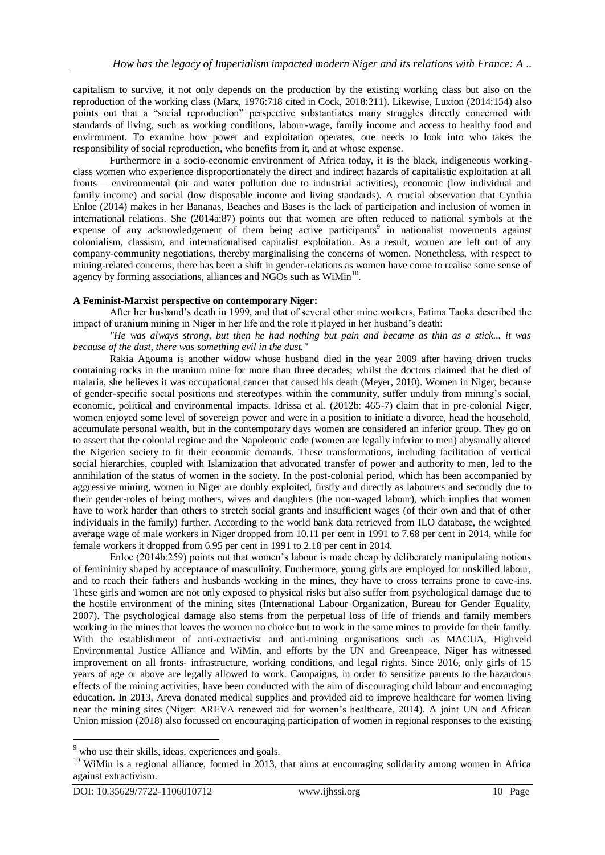capitalism to survive, it not only depends on the production by the existing working class but also on the reproduction of the working class (Marx, 1976:718 cited in Cock, 2018:211). Likewise, Luxton (2014:154) also points out that a "social reproduction" perspective substantiates many struggles directly concerned with standards of living, such as working conditions, labour-wage, family income and access to healthy food and environment. To examine how power and exploitation operates, one needs to look into who takes the responsibility of social reproduction, who benefits from it, and at whose expense.

Furthermore in a socio-economic environment of Africa today, it is the black, indigeneous workingclass women who experience disproportionately the direct and indirect hazards of capitalistic exploitation at all fronts— environmental (air and water pollution due to industrial activities), economic (low individual and family income) and social (low disposable income and living standards). A crucial observation that Cynthia Enloe (2014) makes in her Bananas, Beaches and Bases is the lack of participation and inclusion of women in international relations. She (2014a:87) points out that women are often reduced to national symbols at the expense of any acknowledgement of them being active participants<sup>9</sup> in nationalist movements against colonialism, classism, and internationalised capitalist exploitation. As a result, women are left out of any company-community negotiations, thereby marginalising the concerns of women. Nonetheless, with respect to mining-related concerns, there has been a shift in gender-relations as women have come to realise some sense of agency by forming associations, alliances and NGOs such as WiMin<sup>10</sup>.

# **A Feminist-Marxist perspective on contemporary Niger:**

After her husband's death in 1999, and that of several other mine workers, Fatima Taoka described the impact of uranium mining in Niger in her life and the role it played in her husband's death:

*"He was always strong, but then he had nothing but pain and became as thin as a stick... it was because of the dust, there was something evil in the dust."*

Rakia Agouma is another widow whose husband died in the year 2009 after having driven trucks containing rocks in the uranium mine for more than three decades; whilst the doctors claimed that he died of malaria, she believes it was occupational cancer that caused his death (Meyer, 2010). Women in Niger, because of gender-specific social positions and stereotypes within the community, suffer unduly from mining's social, economic, political and environmental impacts. Idrissa et al. (2012b: 465-7) claim that in pre-colonial Niger, women enjoyed some level of sovereign power and were in a position to initiate a divorce, head the household, accumulate personal wealth, but in the contemporary days women are considered an inferior group. They go on to assert that the colonial regime and the Napoleonic code (women are legally inferior to men) abysmally altered the Nigerien society to fit their economic demands. These transformations, including facilitation of vertical social hierarchies, coupled with Islamization that advocated transfer of power and authority to men, led to the annihilation of the status of women in the society. In the post-colonial period, which has been accompanied by aggressive mining, women in Niger are doubly exploited, firstly and directly as labourers and secondly due to their gender-roles of being mothers, wives and daughters (the non-waged labour), which implies that women have to work harder than others to stretch social grants and insufficient wages (of their own and that of other individuals in the family) further. According to the world bank data retrieved from ILO database, the weighted average wage of male workers in Niger dropped from 10.11 per cent in 1991 to 7.68 per cent in 2014, while for female workers it dropped from 6.95 per cent in 1991 to 2.18 per cent in 2014.

Enloe (2014b:259) points out that women's labour is made cheap by deliberately manipulating notions of femininity shaped by acceptance of masculinity. Furthermore, young girls are employed for unskilled labour, and to reach their fathers and husbands working in the mines, they have to cross terrains prone to cave-ins. These girls and women are not only exposed to physical risks but also suffer from psychological damage due to the hostile environment of the mining sites (International Labour Organization, Bureau for Gender Equality, 2007). The psychological damage also stems from the perpetual loss of life of friends and family members working in the mines that leaves the women no choice but to work in the same mines to provide for their family. With the establishment of anti-extractivist and anti-mining organisations such as MACUA, Highveld Environmental Justice Alliance and WiMin, and efforts by the UN and Greenpeace, Niger has witnessed improvement on all fronts- infrastructure, working conditions, and legal rights. Since 2016, only girls of 15 years of age or above are legally allowed to work. Campaigns, in order to sensitize parents to the hazardous effects of the mining activities, have been conducted with the aim of discouraging child labour and encouraging education. In 2013, Areva donated medical supplies and provided aid to improve healthcare for women living near the mining sites (Niger: AREVA renewed aid for women's healthcare, 2014). A joint UN and African Union mission (2018) also focussed on encouraging participation of women in regional responses to the existing

<sup>&</sup>lt;sup>9</sup> who use their skills, ideas, experiences and goals.

<sup>&</sup>lt;sup>10</sup> WiMin is a regional alliance, formed in 2013, that aims at encouraging solidarity among women in Africa against extractivism.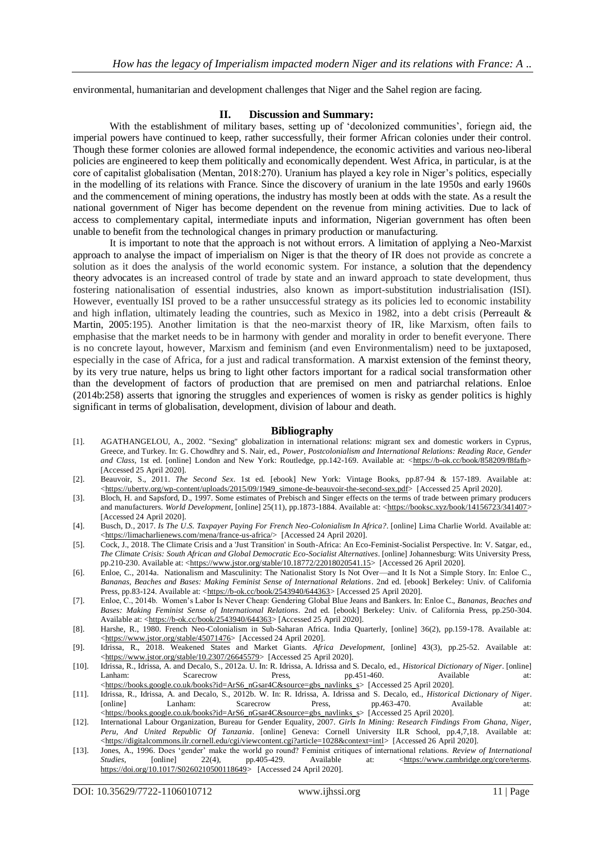environmental, humanitarian and development challenges that Niger and the Sahel region are facing.

#### **II. Discussion and Summary:**

With the establishment of military bases, setting up of 'decolonized communities', foriegn aid, the imperial powers have continued to keep, rather successfully, their former African colonies under their control. Though these former colonies are allowed formal independence, the economic activities and various neo-liberal policies are engineered to keep them politically and economically dependent. West Africa, in particular, is at the core of capitalist globalisation (Mentan, 2018:270). Uranium has played a key role in Niger's politics, especially in the modelling of its relations with France. Since the discovery of uranium in the late 1950s and early 1960s and the commencement of mining operations, the industry has mostly been at odds with the state. As a result the national government of Niger has become dependent on the revenue from mining activities. Due to lack of access to complementary capital, intermediate inputs and information, Nigerian government has often been unable to benefit from the technological changes in primary production or manufacturing.

It is important to note that the approach is not without errors. A limitation of applying a Neo-Marxist approach to analyse the impact of imperialism on Niger is that the theory of IR does not provide as concrete a solution as it does the analysis of the world economic system. For instance, a solution that the dependency theory advocates is an increased control of trade by state and an inward approach to state development, thus fostering nationalisation of essential industries, also known as import-substitution industrialisation (ISI). However, eventually ISI proved to be a rather unsuccessful strategy as its policies led to economic instability and high inflation, ultimately leading the countries, such as Mexico in 1982, into a debt crisis (Perreault & Martin, 2005:195). Another limitation is that the neo-marxist theory of IR, like Marxism, often fails to emphasise that the market needs to be in harmony with gender and morality in order to benefit everyone. There is no concrete layout, however, Marxism and feminism (and even Environmentalism) need to be juxtaposed, especially in the case of Africa, for a just and radical transformation. A marxist extension of the feminst theory, by its very true nature, helps us bring to light other factors important for a radical social transformation other than the development of factors of production that are premised on men and patriarchal relations. Enloe (2014b:258) asserts that ignoring the struggles and experiences of women is risky as gender politics is highly significant in terms of globalisation, development, division of labour and death.

#### **Bibliography**

- [1]. AGATHANGELOU, A., 2002. "Sexing" globalization in international relations: migrant sex and domestic workers in Cyprus, Greece, and Turkey. In: G. Chowdhry and S. Nair, ed., *Power, Postcolonialism and International Relations: Reading Race, Gender*  and Class, 1st ed. [online] London and New York: Routledge, pp.142-169. Available at: [<https://b-ok.cc/book/858209/f8fafb>](https://b-ok.cc/book/858209/f8fafb) [Accessed 25 April 2020].
- [2]. Beauvoir, S., 2011. *The Second Sex*. 1st ed. [ebook] New York: Vintage Books, pp.87-94 & 157-189. Available at: [<https://uberty.org/wp-content/uploads/2015/09/1949\\_simone-de-beauvoir-the-second-sex.pdf>](https://uberty.org/wp-content/uploads/2015/09/1949_simone-de-beauvoir-the-second-sex.pdf) [Accessed 25 April 2020].
- [3]. Bloch, H. and Sapsford, D., 1997. Some estimates of Prebisch and Singer effects on the terms of trade between primary producers and manufacturers. *World Development*, [online] 25(11), pp.1873-1884. Available at: [<https://booksc.xyz/book/14156723/341407>](https://booksc.xyz/book/14156723/341407) [Accessed 24 April 2020].
- [4]. Busch, D., 2017. *Is The U.S. Taxpayer Paying For French Neo-Colonialism In Africa?*. [online] Lima Charlie World. Available at: [<https://limacharlienews.com/mena/france-us-africa/>](https://limacharlienews.com/mena/france-us-africa/) [Accessed 24 April 2020].
- [5]. Cock, J., 2018. The Climate Crisis and a 'Just Transition' in South-Africa: An Eco-Feminist-Socialist Perspective. In: V. Satgar, ed., *The Climate Crisis: South African and Global Democratic Eco-Socialist Alternatives*. [online] Johannesburg: Wits University Press, pp.210-230. Available at: [<https://www.jstor.org/stable/10.18772/22018020541.15>](https://www.jstor.org/stable/10.18772/22018020541.15) [Accessed 26 April 2020].
- [6]. Enloe, C., 2014a. Nationalism and Masculinity: The Nationalist Story Is Not Over—and It Is Not a Simple Story. In: Enloe C., *Bananas, Beaches and Bases: Making Feminist Sense of International Relations*. 2nd ed. [ebook] Berkeley: Univ. of California Press, pp.83-124. Available at: [<https://b-ok.cc/book/2543940/644363>](https://b-ok.cc/book/2543940/644363) [Accessed 25 April 2020].
- [7]. Enloe, C., 2014b. Women's Labor Is Never Cheap: Gendering Global Blue Jeans and Bankers. In: Enloe C., *Bananas, Beaches and Bases: Making Feminist Sense of International Relations*. 2nd ed. [ebook] Berkeley: Univ. of California Press, pp.250-304. Available at: [<https://b-ok.cc/book/2543940/644363>](https://b-ok.cc/book/2543940/644363) [Accessed 25 April 2020].
- [8]. Harshe, R., 1980. French Neo-Colonialism in Sub-Saharan Africa. India Quarterly, [online] 36(2), pp.159-178. Available at: [<https://www.jstor.org/stable/45071476>](https://www.jstor.org/stable/45071476) [Accessed 24 April 2020].
- [9]. Idrissa, R., 2018. Weakened States and Market Giants. *Africa Development*, [online] 43(3), pp.25-52. Available at: [<https://www.jstor.org/stable/10.2307/26645579>](https://www.jstor.org/stable/10.2307/26645579) [Accessed 25 April 2020].
- [10]. Idrissa, R., Idrissa, A. and Decalo, S., 2012a. U. In: R. Idrissa, A. Idrissa and S. Decalo, ed., *Historical Dictionary of Niger*. [online] Lanham: Scarecrow Press, pp.451-460. Available at: [<https://books.google.co.uk/books?id=ArS6\\_nGsar4C&source=gbs\\_navlinks\\_s>](https://books.google.co.uk/books?id=ArS6_nGsar4C&source=gbs_navlinks_s) [Accessed 25 April 2020].
- [11]. Idrissa, R., Idrissa, A. and Decalo, S., 2012b. W. In: R. Idrissa, A. Idrissa and S. Decalo, ed., *Historical Dictionary of Niger*. [online] Lanham: Scarecrow Press, pp.463-470. Available at: [<https://books.google.co.uk/books?id=ArS6\\_nGsar4C&source=gbs\\_navlinks\\_s>](https://books.google.co.uk/books?id=ArS6_nGsar4C&source=gbs_navlinks_s) [Accessed 25 April 2020].
- [12]. International Labour Organization, Bureau for Gender Equality, 2007. *Girls In Mining: Research Findings From Ghana, Niger, Peru, And United Republic Of Tanzania*. [online] Geneva: Cornell University ILR School, pp.4,7,18. Available at: [<https://digitalcommons.ilr.cornell.edu/cgi/viewcontent.cgi?article=1028&context=intl>](https://digitalcommons.ilr.cornell.edu/cgi/viewcontent.cgi?article=1028&context=intl) [Accessed 26 April 2020].
- [13]. Jones, A., 1996. Does 'gender' make the world go round? Feminist critiques of international relations. *Review of International Studies*, [online] 22(4), pp.405-429. Available at: <https://www.cambridge.org/core/terms. [https://doi.org/10.1017/S0260210500118649>](https://doi.org/10.1017/S0260210500118649) [Accessed 24 April 2020].